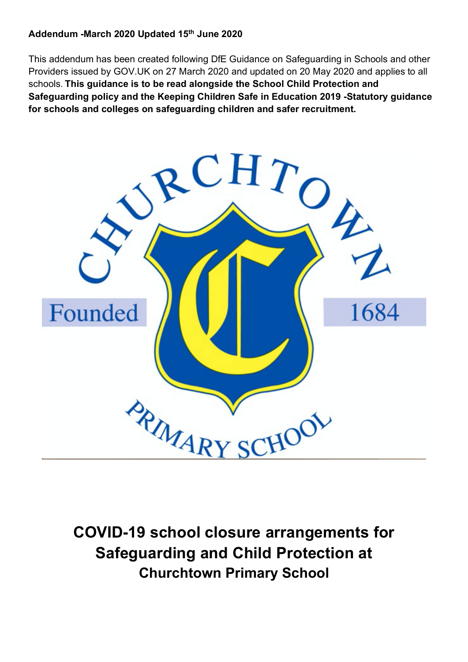#### **Addendum -March 2020 Updated 15th June 2020**

This addendum has been created following DfE Guidance on Safeguarding in Schools and other Providers issued by GOV.UK on 27 March 2020 and updated on 20 May 2020 and applies to all schools. **This guidance is to be read alongside the School Child Protection and Safeguarding policy and the Keeping Children Safe in Education 2019 -Statutory guidance for schools and colleges on safeguarding children and safer recruitment.** 



**COVID-19 school closure arrangements for Safeguarding and Child Protection at Churchtown Primary School**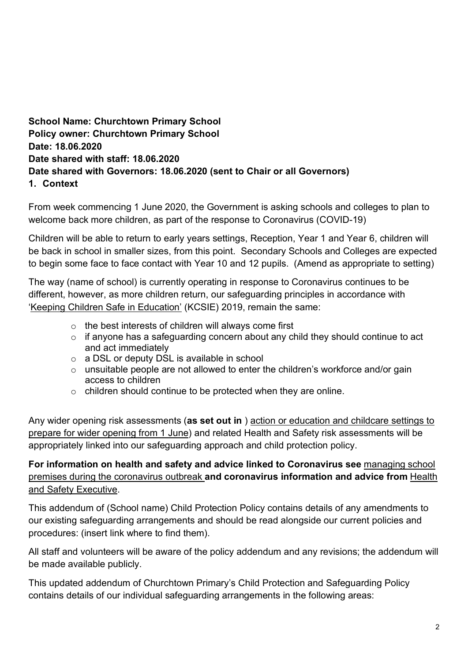### **School Name: Churchtown Primary School Policy owner: Churchtown Primary School Date: 18.06.2020 Date shared with staff: 18.06.2020 Date shared with Governors: 18.06.2020 (sent to Chair or all Governors) 1. Context**

From week commencing 1 June 2020, the Government is asking schools and colleges to plan to welcome back more children, as part of the response to Coronavirus (COVID-19)

Children will be able to return to early years settings, Reception, Year 1 and Year 6, children will be back in school in smaller sizes, from this point. Secondary Schools and Colleges are expected to begin some face to face contact with Year 10 and 12 pupils. (Amend as appropriate to setting)

The way (name of school) is currently operating in response to Coronavirus continues to be different, however, as more children return, our safeguarding principles in accordance with 'Keeping Children Safe in Education' (KCSIE) 2019, remain the same:

- o the best interests of children will always come first
- o if anyone has a safeguarding concern about any child they should continue to act and act immediately
- $\circ$  a DSL or deputy DSL is available in school
- o unsuitable people are not allowed to enter the children's workforce and/or gain access to children
- o children should continue to be protected when they are online.

Any wider opening risk assessments (**as set out in** ) action or education and childcare settings to prepare for wider opening from 1 June) and related Health and Safety risk assessments will be appropriately linked into our safeguarding approach and child protection policy.

### **For information on health and safety and advice linked to Coronavirus see** managing school premises during the coronavirus outbreak **and coronavirus information and advice from** Health and Safety Executive.

This addendum of (School name) Child Protection Policy contains details of any amendments to our existing safeguarding arrangements and should be read alongside our current policies and procedures: (insert link where to find them).

All staff and volunteers will be aware of the policy addendum and any revisions; the addendum will be made available publicly.

This updated addendum of Churchtown Primary's Child Protection and Safeguarding Policy contains details of our individual safeguarding arrangements in the following areas: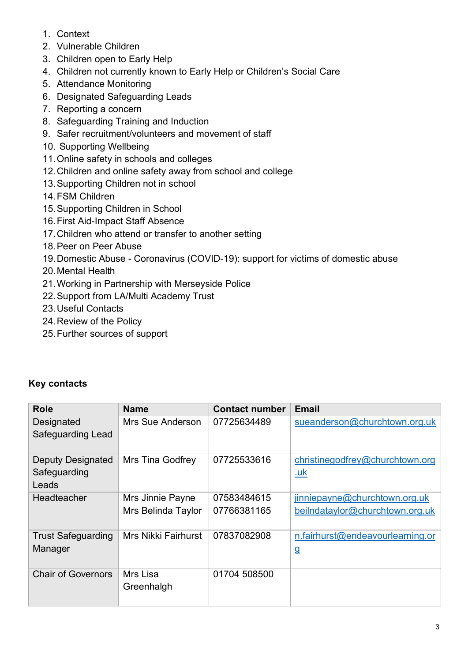- 1. Context
- 2. Vulnerable Children
- 3. Children open to Early Help
- 4. Children not currently known to Early Help or Children's Social Care
- 5. Attendance Monitoring
- 6. Designated Safeguarding Leads
- 7. Reporting a concern
- 8. Safeguarding Training and Induction
- 9. Safer recruitment/volunteers and movement of staff
- 10. Supporting Wellbeing
- 11.Online safety in schools and colleges
- 12.Children and online safety away from school and college
- 13.Supporting Children not in school
- 14.FSM Children
- 15.Supporting Children in School
- 16.First Aid-Impact Staff Absence
- 17.Children who attend or transfer to another setting
- 18.Peer on Peer Abuse
- 19.Domestic Abuse Coronavirus (COVID-19): support for victims of domestic abuse
- 20.Mental Health
- 21.Working in Partnership with Merseyside Police
- 22.Support from LA/Multi Academy Trust
- 23.Useful Contacts
- 24.Review of the Policy
- 25.Further sources of support

### **Key contacts**

| <b>Role</b>                                       | <b>Name</b>                            | <b>Contact number</b>      | <b>Email</b>                                                     |
|---------------------------------------------------|----------------------------------------|----------------------------|------------------------------------------------------------------|
| Designated<br>Safeguarding Lead                   | Mrs Sue Anderson                       | 07725634489                | sueanderson@churchtown.org.uk                                    |
| <b>Deputy Designated</b><br>Safeguarding<br>Leads | <b>Mrs Tina Godfrey</b>                | 07725533616                | christinegodfrey@churchtown.org<br><u>.uk</u>                    |
| Headteacher                                       | Mrs Jinnie Payne<br>Mrs Belinda Taylor | 07583484615<br>07766381165 | jinniepayne@churchtown.org.uk<br>beilndataylor@churchtown.org.uk |
| <b>Trust Safeguarding</b><br>Manager              | Mrs Nikki Fairhurst                    | 07837082908                | n.fairhurst@endeavourlearning.or<br>$\overline{a}$               |
| <b>Chair of Governors</b>                         | Mrs Lisa<br>Greenhalgh                 | 01704 508500               |                                                                  |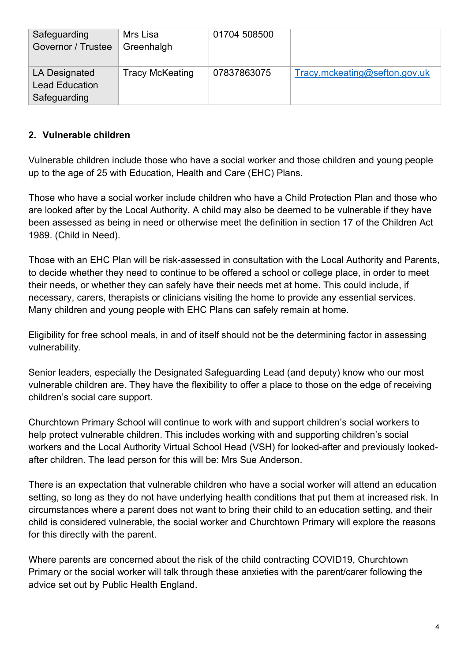| Safeguarding<br>Governor / Trustee                     | Mrs Lisa<br>Greenhalgh | 01704 508500 |                               |
|--------------------------------------------------------|------------------------|--------------|-------------------------------|
| LA Designated<br><b>Lead Education</b><br>Safeguarding | <b>Tracy McKeating</b> | 07837863075  | Tracy.mckeating@sefton.gov.uk |

### **2. Vulnerable children**

Vulnerable children include those who have a social worker and those children and young people up to the age of 25 with Education, Health and Care (EHC) Plans.

Those who have a social worker include children who have a Child Protection Plan and those who are looked after by the Local Authority. A child may also be deemed to be vulnerable if they have been assessed as being in need or otherwise meet the definition in section 17 of the Children Act 1989. (Child in Need).

Those with an EHC Plan will be risk-assessed in consultation with the Local Authority and Parents, to decide whether they need to continue to be offered a school or college place, in order to meet their needs, or whether they can safely have their needs met at home. This could include, if necessary, carers, therapists or clinicians visiting the home to provide any essential services. Many children and young people with EHC Plans can safely remain at home.

Eligibility for free school meals, in and of itself should not be the determining factor in assessing vulnerability.

Senior leaders, especially the Designated Safeguarding Lead (and deputy) know who our most vulnerable children are. They have the flexibility to offer a place to those on the edge of receiving children's social care support.

Churchtown Primary School will continue to work with and support children's social workers to help protect vulnerable children. This includes working with and supporting children's social workers and the Local Authority Virtual School Head (VSH) for looked-after and previously lookedafter children. The lead person for this will be: Mrs Sue Anderson.

There is an expectation that vulnerable children who have a social worker will attend an education setting, so long as they do not have underlying health conditions that put them at increased risk. In circumstances where a parent does not want to bring their child to an education setting, and their child is considered vulnerable, the social worker and Churchtown Primary will explore the reasons for this directly with the parent.

Where parents are concerned about the risk of the child contracting COVID19, Churchtown Primary or the social worker will talk through these anxieties with the parent/carer following the advice set out by Public Health England.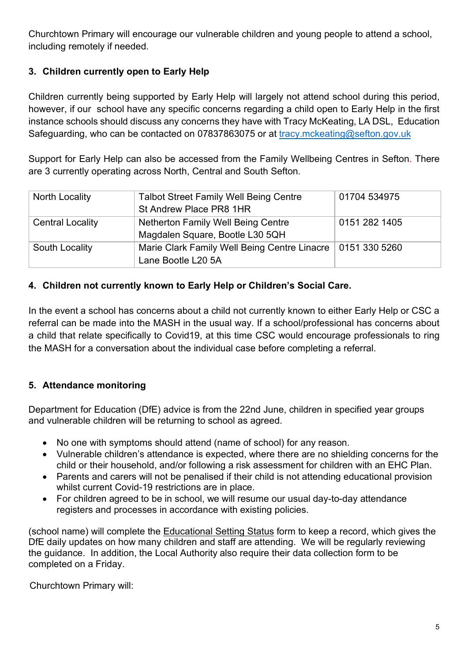Churchtown Primary will encourage our vulnerable children and young people to attend a school, including remotely if needed.

# **3. Children currently open to Early Help**

Children currently being supported by Early Help will largely not attend school during this period, however, if our school have any specific concerns regarding a child open to Early Help in the first instance schools should discuss any concerns they have with Tracy McKeating, LA DSL, Education Safeguarding, who can be contacted on 07837863075 or at tracy.mckeating@sefton.gov.uk

Support for Early Help can also be accessed from the Family Wellbeing Centres in Sefton. There are 3 currently operating across North, Central and South Sefton.

| North Locality          | <b>Talbot Street Family Well Being Centre</b><br>St Andrew Place PR8 1HR           | 01704 534975  |
|-------------------------|------------------------------------------------------------------------------------|---------------|
| <b>Central Locality</b> | <b>Netherton Family Well Being Centre</b><br>Magdalen Square, Bootle L30 5QH       | 0151 282 1405 |
| South Locality          | Marie Clark Family Well Being Centre Linacre   0151 330 5260<br>Lane Bootle L20 5A |               |

### **4. Children not currently known to Early Help or Children's Social Care.**

In the event a school has concerns about a child not currently known to either Early Help or CSC a referral can be made into the MASH in the usual way. If a school/professional has concerns about a child that relate specifically to Covid19, at this time CSC would encourage professionals to ring the MASH for a conversation about the individual case before completing a referral.

### **5. Attendance monitoring**

Department for Education (DfE) advice is from the 22nd June, children in specified year groups and vulnerable children will be returning to school as agreed.

- No one with symptoms should attend (name of school) for any reason.
- Vulnerable children's attendance is expected, where there are no shielding concerns for the child or their household, and/or following a risk assessment for children with an EHC Plan.
- Parents and carers will not be penalised if their child is not attending educational provision whilst current Covid-19 restrictions are in place.
- For children agreed to be in school, we will resume our usual day-to-day attendance registers and processes in accordance with existing policies.

(school name) will complete the Educational Setting Status form to keep a record, which gives the DfE daily updates on how many children and staff are attending. We will be regularly reviewing the guidance. In addition, the Local Authority also require their data collection form to be completed on a Friday.

Churchtown Primary will: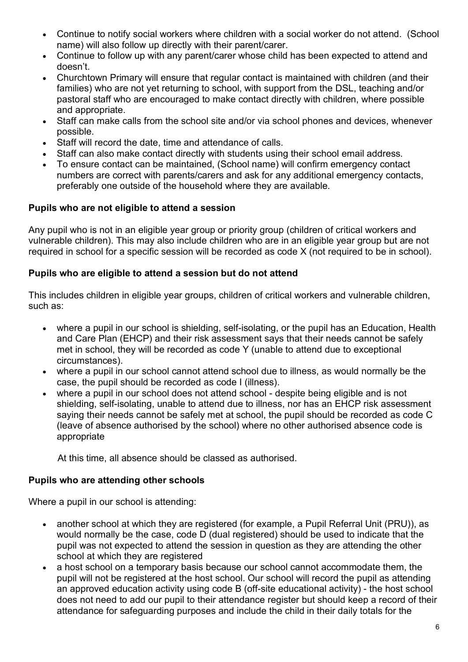- Continue to notify social workers where children with a social worker do not attend. (School name) will also follow up directly with their parent/carer.
- Continue to follow up with any parent/carer whose child has been expected to attend and doesn't.
- Churchtown Primary will ensure that regular contact is maintained with children (and their families) who are not yet returning to school, with support from the DSL, teaching and/or pastoral staff who are encouraged to make contact directly with children, where possible and appropriate.
- Staff can make calls from the school site and/or via school phones and devices, whenever possible.
- Staff will record the date, time and attendance of calls.
- Staff can also make contact directly with students using their school email address.
- To ensure contact can be maintained, (School name) will confirm emergency contact numbers are correct with parents/carers and ask for any additional emergency contacts, preferably one outside of the household where they are available.

#### **Pupils who are not eligible to attend a session**

Any pupil who is not in an eligible year group or priority group (children of critical workers and vulnerable children). This may also include children who are in an eligible year group but are not required in school for a specific session will be recorded as code X (not required to be in school).

#### **Pupils who are eligible to attend a session but do not attend**

This includes children in eligible year groups, children of critical workers and vulnerable children, such as:

- where a pupil in our school is shielding, self-isolating, or the pupil has an Education, Health and Care Plan (EHCP) and their risk assessment says that their needs cannot be safely met in school, they will be recorded as code Y (unable to attend due to exceptional circumstances).
- where a pupil in our school cannot attend school due to illness, as would normally be the case, the pupil should be recorded as code I (illness).
- where a pupil in our school does not attend school despite being eligible and is not shielding, self-isolating, unable to attend due to illness, nor has an EHCP risk assessment saying their needs cannot be safely met at school, the pupil should be recorded as code C (leave of absence authorised by the school) where no other authorised absence code is appropriate

At this time, all absence should be classed as authorised.

#### **Pupils who are attending other schools**

Where a pupil in our school is attending:

- another school at which they are registered (for example, a Pupil Referral Unit (PRU)), as would normally be the case, code D (dual registered) should be used to indicate that the pupil was not expected to attend the session in question as they are attending the other school at which they are registered
- a host school on a temporary basis because our school cannot accommodate them, the pupil will not be registered at the host school. Our school will record the pupil as attending an approved education activity using code B (off-site educational activity) - the host school does not need to add our pupil to their attendance register but should keep a record of their attendance for safeguarding purposes and include the child in their daily totals for the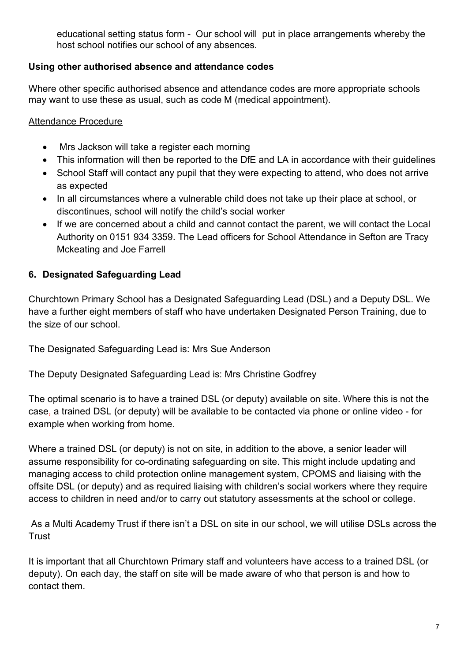educational setting status form - Our school will put in place arrangements whereby the host school notifies our school of any absences.

### **Using other authorised absence and attendance codes**

Where other specific authorised absence and attendance codes are more appropriate schools may want to use these as usual, such as code M (medical appointment).

#### Attendance Procedure

- Mrs Jackson will take a register each morning
- This information will then be reported to the DfE and LA in accordance with their quidelines
- School Staff will contact any pupil that they were expecting to attend, who does not arrive as expected
- In all circumstances where a vulnerable child does not take up their place at school, or discontinues, school will notify the child's social worker
- If we are concerned about a child and cannot contact the parent, we will contact the Local Authority on 0151 934 3359. The Lead officers for School Attendance in Sefton are Tracy Mckeating and Joe Farrell

### **6. Designated Safeguarding Lead**

Churchtown Primary School has a Designated Safeguarding Lead (DSL) and a Deputy DSL. We have a further eight members of staff who have undertaken Designated Person Training, due to the size of our school.

The Designated Safeguarding Lead is: Mrs Sue Anderson

The Deputy Designated Safeguarding Lead is: Mrs Christine Godfrey

The optimal scenario is to have a trained DSL (or deputy) available on site. Where this is not the case, a trained DSL (or deputy) will be available to be contacted via phone or online video - for example when working from home.

Where a trained DSL (or deputy) is not on site, in addition to the above, a senior leader will assume responsibility for co-ordinating safeguarding on site. This might include updating and managing access to child protection online management system, CPOMS and liaising with the offsite DSL (or deputy) and as required liaising with children's social workers where they require access to children in need and/or to carry out statutory assessments at the school or college.

As a Multi Academy Trust if there isn't a DSL on site in our school, we will utilise DSLs across the **Trust** 

It is important that all Churchtown Primary staff and volunteers have access to a trained DSL (or deputy). On each day, the staff on site will be made aware of who that person is and how to contact them.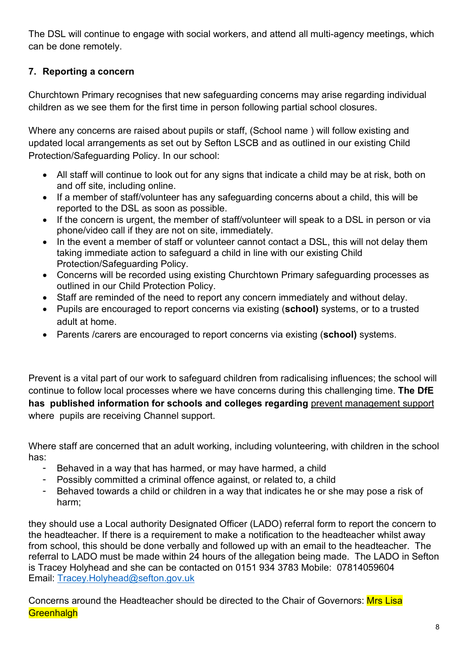The DSL will continue to engage with social workers, and attend all multi-agency meetings, which can be done remotely.

# **7. Reporting a concern**

Churchtown Primary recognises that new safeguarding concerns may arise regarding individual children as we see them for the first time in person following partial school closures.

Where any concerns are raised about pupils or staff, (School name ) will follow existing and updated local arrangements as set out by Sefton LSCB and as outlined in our existing Child Protection/Safeguarding Policy. In our school:

- All staff will continue to look out for any signs that indicate a child may be at risk, both on and off site, including online.
- If a member of staff/volunteer has any safeguarding concerns about a child, this will be reported to the DSL as soon as possible.
- If the concern is urgent, the member of staff/volunteer will speak to a DSL in person or via phone/video call if they are not on site, immediately.
- In the event a member of staff or volunteer cannot contact a DSL, this will not delay them taking immediate action to safeguard a child in line with our existing Child Protection/Safeguarding Policy.
- Concerns will be recorded using existing Churchtown Primary safeguarding processes as outlined in our Child Protection Policy.
- Staff are reminded of the need to report any concern immediately and without delay.
- Pupils are encouraged to report concerns via existing (**school)** systems, or to a trusted adult at home.
- Parents /carers are encouraged to report concerns via existing (**school)** systems.

Prevent is a vital part of our work to safeguard children from radicalising influences; the school will continue to follow local processes where we have concerns during this challenging time. **The DfE has published information for schools and colleges regarding** prevent management support where pupils are receiving Channel support.

Where staff are concerned that an adult working, including volunteering, with children in the school has:

- Behaved in a way that has harmed, or may have harmed, a child
- Possibly committed a criminal offence against, or related to, a child
- Behaved towards a child or children in a way that indicates he or she may pose a risk of harm;

they should use a Local authority Designated Officer (LADO) referral form to report the concern to the headteacher. If there is a requirement to make a notification to the headteacher whilst away from school, this should be done verbally and followed up with an email to the headteacher. The referral to LADO must be made within 24 hours of the allegation being made. The LADO in Sefton is Tracey Holyhead and she can be contacted on 0151 934 3783 Mobile: 07814059604 Email: Tracey.Holyhead@sefton.gov.uk

Concerns around the Headteacher should be directed to the Chair of Governors: Mrs Lisa **Greenhalgh**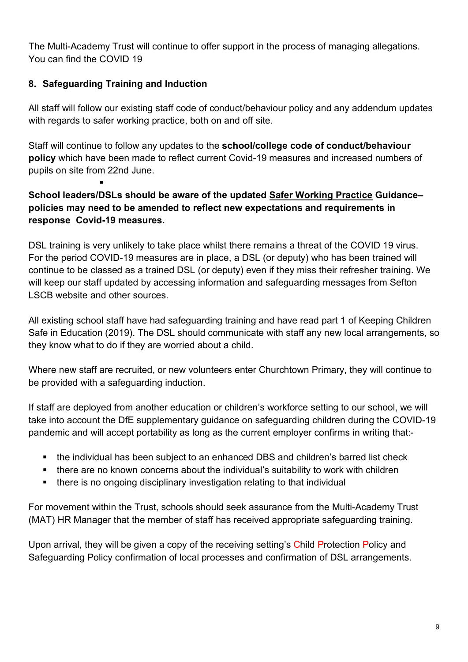The Multi-Academy Trust will continue to offer support in the process of managing allegations. You can find the COVID 19

## **8. Safeguarding Training and Induction**

§

All staff will follow our existing staff code of conduct/behaviour policy and any addendum updates with regards to safer working practice, both on and off site.

Staff will continue to follow any updates to the **school/college code of conduct/behaviour policy** which have been made to reflect current Covid-19 measures and increased numbers of pupils on site from 22nd June.

## **School leaders/DSLs should be aware of the updated Safer Working Practice Guidance– policies may need to be amended to reflect new expectations and requirements in response Covid-19 measures.**

DSL training is very unlikely to take place whilst there remains a threat of the COVID 19 virus. For the period COVID-19 measures are in place, a DSL (or deputy) who has been trained will continue to be classed as a trained DSL (or deputy) even if they miss their refresher training. We will keep our staff updated by accessing information and safeguarding messages from Sefton LSCB website and other sources.

All existing school staff have had safeguarding training and have read part 1 of Keeping Children Safe in Education (2019). The DSL should communicate with staff any new local arrangements, so they know what to do if they are worried about a child.

Where new staff are recruited, or new volunteers enter Churchtown Primary, they will continue to be provided with a safeguarding induction.

If staff are deployed from another education or children's workforce setting to our school, we will take into account the DfE supplementary guidance on safeguarding children during the COVID-19 pandemic and will accept portability as long as the current employer confirms in writing that:-

- the individual has been subject to an enhanced DBS and children's barred list check
- there are no known concerns about the individual's suitability to work with children
- there is no ongoing disciplinary investigation relating to that individual

For movement within the Trust, schools should seek assurance from the Multi-Academy Trust (MAT) HR Manager that the member of staff has received appropriate safeguarding training.

Upon arrival, they will be given a copy of the receiving setting's Child Protection Policy and Safeguarding Policy confirmation of local processes and confirmation of DSL arrangements.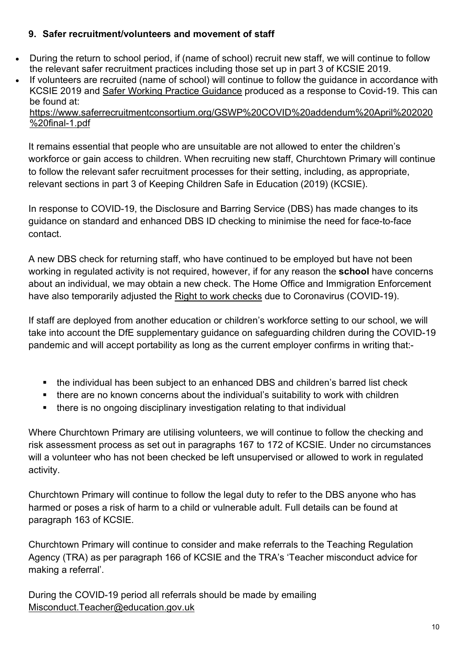#### **9. Safer recruitment/volunteers and movement of staff**

- During the return to school period, if (name of school) recruit new staff, we will continue to follow the relevant safer recruitment practices including those set up in part 3 of KCSIE 2019.
- If volunteers are recruited (name of school) will continue to follow the guidance in accordance with KCSIE 2019 and Safer Working Practice Guidance produced as a response to Covid-19. This can be found at:

https://www.saferrecruitmentconsortium.org/GSWP%20COVID%20addendum%20April%202020 %20final-1.pdf

It remains essential that people who are unsuitable are not allowed to enter the children's workforce or gain access to children. When recruiting new staff, Churchtown Primary will continue to follow the relevant safer recruitment processes for their setting, including, as appropriate, relevant sections in part 3 of Keeping Children Safe in Education (2019) (KCSIE).

In response to COVID-19, the Disclosure and Barring Service (DBS) has made changes to its guidance on standard and enhanced DBS ID checking to minimise the need for face-to-face contact.

A new DBS check for returning staff, who have continued to be employed but have not been working in regulated activity is not required, however, if for any reason the **school** have concerns about an individual, we may obtain a new check. The Home Office and Immigration Enforcement have also temporarily adjusted the Right to work checks due to Coronavirus (COVID-19).

If staff are deployed from another education or children's workforce setting to our school, we will take into account the DfE supplementary guidance on safeguarding children during the COVID-19 pandemic and will accept portability as long as the current employer confirms in writing that:-

- the individual has been subject to an enhanced DBS and children's barred list check
- there are no known concerns about the individual's suitability to work with children
- there is no ongoing disciplinary investigation relating to that individual

Where Churchtown Primary are utilising volunteers, we will continue to follow the checking and risk assessment process as set out in paragraphs 167 to 172 of KCSIE. Under no circumstances will a volunteer who has not been checked be left unsupervised or allowed to work in regulated activity.

Churchtown Primary will continue to follow the legal duty to refer to the DBS anyone who has harmed or poses a risk of harm to a child or vulnerable adult. Full details can be found at paragraph 163 of KCSIE.

Churchtown Primary will continue to consider and make referrals to the Teaching Regulation Agency (TRA) as per paragraph 166 of KCSIE and the TRA's 'Teacher misconduct advice for making a referral'.

During the COVID-19 period all referrals should be made by emailing Misconduct.Teacher@education.gov.uk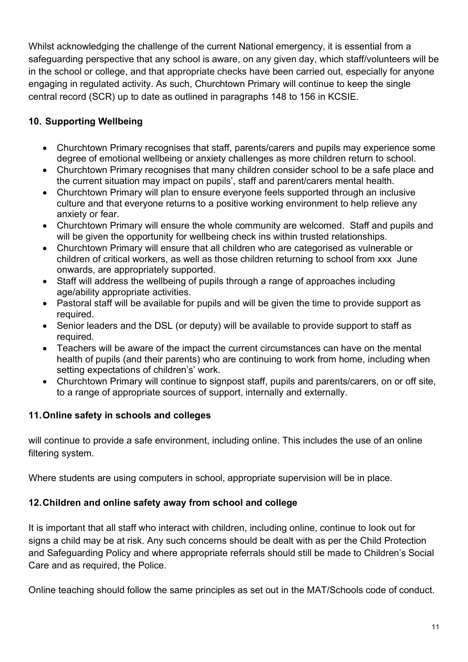Whilst acknowledging the challenge of the current National emergency, it is essential from a safeguarding perspective that any school is aware, on any given day, which staff/volunteers will be in the school or college, and that appropriate checks have been carried out, especially for anyone engaging in regulated activity. As such, Churchtown Primary will continue to keep the single central record (SCR) up to date as outlined in paragraphs 148 to 156 in KCSIE.

# **10. Supporting Wellbeing**

- Churchtown Primary recognises that staff, parents/carers and pupils may experience some degree of emotional wellbeing or anxiety challenges as more children return to school.
- Churchtown Primary recognises that many children consider school to be a safe place and the current situation may impact on pupils', staff and parent/carers mental health.
- Churchtown Primary will plan to ensure everyone feels supported through an inclusive culture and that everyone returns to a positive working environment to help relieve any anxiety or fear.
- Churchtown Primary will ensure the whole community are welcomed. Staff and pupils and will be given the opportunity for wellbeing check ins within trusted relationships.
- Churchtown Primary will ensure that all children who are categorised as vulnerable or children of critical workers, as well as those children returning to school from xxx June onwards, are appropriately supported.
- Staff will address the wellbeing of pupils through a range of approaches including age/ability appropriate activities.
- Pastoral staff will be available for pupils and will be given the time to provide support as required.
- Senior leaders and the DSL (or deputy) will be available to provide support to staff as required.
- Teachers will be aware of the impact the current circumstances can have on the mental health of pupils (and their parents) who are continuing to work from home, including when setting expectations of children's' work.
- Churchtown Primary will continue to signpost staff, pupils and parents/carers, on or off site, to a range of appropriate sources of support, internally and externally.

### **11.Online safety in schools and colleges**

will continue to provide a safe environment, including online. This includes the use of an online filtering system.

Where students are using computers in school, appropriate supervision will be in place.

### **12.Children and online safety away from school and college**

It is important that all staff who interact with children, including online, continue to look out for signs a child may be at risk. Any such concerns should be dealt with as per the Child Protection and Safeguarding Policy and where appropriate referrals should still be made to Children's Social Care and as required, the Police.

Online teaching should follow the same principles as set out in the MAT/Schools code of conduct.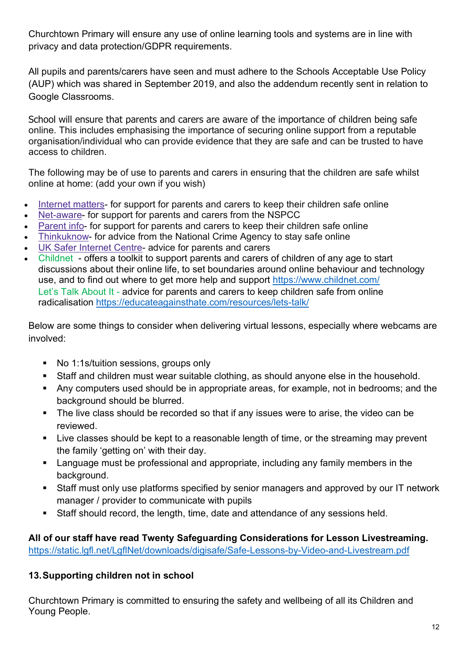Churchtown Primary will ensure any use of online learning tools and systems are in line with privacy and data protection/GDPR requirements.

All pupils and parents/carers have seen and must adhere to the Schools Acceptable Use Policy (AUP) which was shared in September 2019, and also the addendum recently sent in relation to Google Classrooms.

School will ensure that parents and carers are aware of the importance of children being safe online. This includes emphasising the importance of securing online support from a reputable organisation/individual who can provide evidence that they are safe and can be trusted to have access to children.

The following may be of use to parents and carers in ensuring that the children are safe whilst online at home: (add your own if you wish)

- Internet matters- for support for parents and carers to keep their children safe online
- Net-aware- for support for parents and carers from the NSPCC
- Parent info- for support for parents and carers to keep their children safe online
- Thinkuknow- for advice from the National Crime Agency to stay safe online
- UK Safer Internet Centre- advice for parents and carers
- Childnet offers a toolkit to support parents and carers of children of any age to start discussions about their online life, to set boundaries around online behaviour and technology use, and to find out where to get more help and support https://www.childnet.com/ Let's Talk About It - advice for parents and carers to keep children safe from online radicalisation https://educateagainsthate.com/resources/lets-talk/

Below are some things to consider when delivering virtual lessons, especially where webcams are involved:

- No 1:1s/tuition sessions, groups only
- Staff and children must wear suitable clothing, as should anyone else in the household.
- Any computers used should be in appropriate areas, for example, not in bedrooms; and the background should be blurred.
- The live class should be recorded so that if any issues were to arise, the video can be reviewed.
- Live classes should be kept to a reasonable length of time, or the streaming may prevent the family 'getting on' with their day.
- Language must be professional and appropriate, including any family members in the background.
- Staff must only use platforms specified by senior managers and approved by our IT network manager / provider to communicate with pupils
- Staff should record, the length, time, date and attendance of any sessions held.

**All of our staff have read Twenty Safeguarding Considerations for Lesson Livestreaming.** https://static.lgfl.net/LgflNet/downloads/digisafe/Safe-Lessons-by-Video-and-Livestream.pdf

### **13.Supporting children not in school**

Churchtown Primary is committed to ensuring the safety and wellbeing of all its Children and Young People.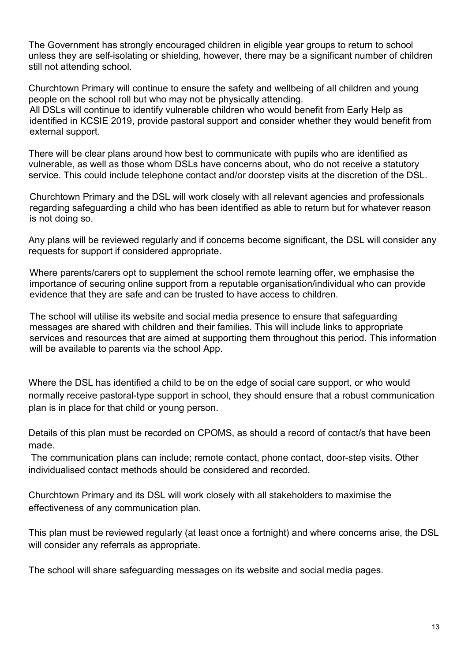The Government has strongly encouraged children in eligible year groups to return to school unless they are self-isolating or shielding, however, there may be a significant number of children still not attending school.

Churchtown Primary will continue to ensure the safety and wellbeing of all children and young people on the school roll but who may not be physically attending. All DSLs will continue to identify vulnerable children who would benefit from Early Help as identified in KCSIE 2019, provide pastoral support and consider whether they would benefit from external support.

There will be clear plans around how best to communicate with pupils who are identified as vulnerable, as well as those whom DSLs have concerns about, who do not receive a statutory service. This could include telephone contact and/or doorstep visits at the discretion of the DSL.

Churchtown Primary and the DSL will work closely with all relevant agencies and professionals regarding safeguarding a child who has been identified as able to return but for whatever reason is not doing so.

Any plans will be reviewed regularly and if concerns become significant, the DSL will consider any requests for support if considered appropriate.

Where parents/carers opt to supplement the school remote learning offer, we emphasise the importance of securing online support from a reputable organisation/individual who can provide evidence that they are safe and can be trusted to have access to children.

The school will utilise its website and social media presence to ensure that safeguarding messages are shared with children and their families. This will include links to appropriate services and resources that are aimed at supporting them throughout this period. This information will be available to parents via the school App.

Where the DSL has identified a child to be on the edge of social care support, or who would normally receive pastoral-type support in school, they should ensure that a robust communication plan is in place for that child or young person.

Details of this plan must be recorded on CPOMS, as should a record of contact/s that have been made.

The communication plans can include; remote contact, phone contact, door-step visits. Other individualised contact methods should be considered and recorded.

Churchtown Primary and its DSL will work closely with all stakeholders to maximise the effectiveness of any communication plan.

This plan must be reviewed regularly (at least once a fortnight) and where concerns arise, the DSL will consider any referrals as appropriate.

The school will share safeguarding messages on its website and social media pages.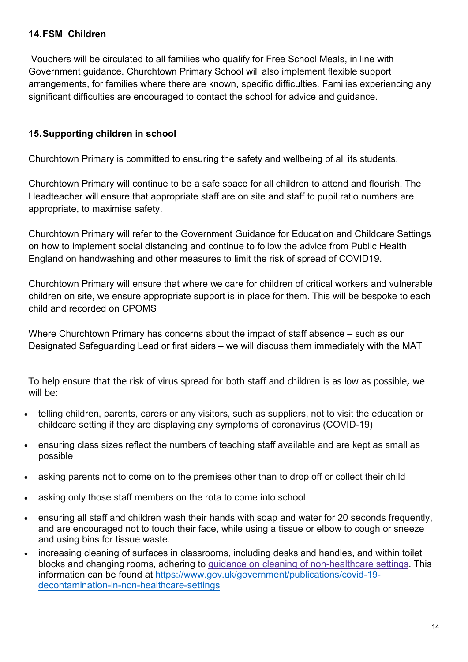#### **14.FSM Children**

Vouchers will be circulated to all families who qualify for Free School Meals, in line with Government guidance. Churchtown Primary School will also implement flexible support arrangements, for families where there are known, specific difficulties. Families experiencing any significant difficulties are encouraged to contact the school for advice and guidance.

#### **15.Supporting children in school**

Churchtown Primary is committed to ensuring the safety and wellbeing of all its students.

Churchtown Primary will continue to be a safe space for all children to attend and flourish. The Headteacher will ensure that appropriate staff are on site and staff to pupil ratio numbers are appropriate, to maximise safety.

Churchtown Primary will refer to the Government Guidance for Education and Childcare Settings on how to implement social distancing and continue to follow the advice from Public Health England on handwashing and other measures to limit the risk of spread of COVID19.

Churchtown Primary will ensure that where we care for children of critical workers and vulnerable children on site, we ensure appropriate support is in place for them. This will be bespoke to each child and recorded on CPOMS

Where Churchtown Primary has concerns about the impact of staff absence – such as our Designated Safeguarding Lead or first aiders – we will discuss them immediately with the MAT

To help ensure that the risk of virus spread for both staff and children is as low as possible, we will be:

- telling children, parents, carers or any visitors, such as suppliers, not to visit the education or childcare setting if they are displaying any symptoms of coronavirus (COVID-19)
- ensuring class sizes reflect the numbers of teaching staff available and are kept as small as possible
- asking parents not to come on to the premises other than to drop off or collect their child
- asking only those staff members on the rota to come into school
- ensuring all staff and children wash their hands with soap and water for 20 seconds frequently, and are encouraged not to touch their face, while using a tissue or elbow to cough or sneeze and using bins for tissue waste.
- increasing cleaning of surfaces in classrooms, including desks and handles, and within toilet blocks and changing rooms, adhering to guidance on cleaning of non-healthcare settings. This information can be found at https://www.gov.uk/government/publications/covid-19 decontamination-in-non-healthcare-settings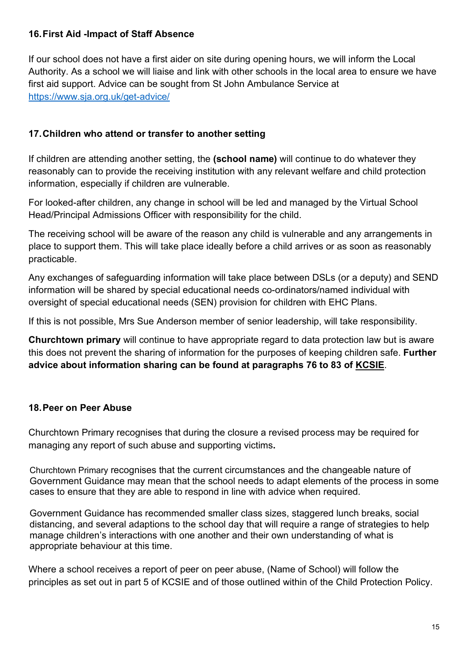#### **16.First Aid -Impact of Staff Absence**

If our school does not have a first aider on site during opening hours, we will inform the Local Authority. As a school we will liaise and link with other schools in the local area to ensure we have first aid support. Advice can be sought from St John Ambulance Service at https://www.sja.org.uk/get-advice/

### **17.Children who attend or transfer to another setting**

If children are attending another setting, the **(school name)** will continue to do whatever they reasonably can to provide the receiving institution with any relevant welfare and child protection information, especially if children are vulnerable.

For looked-after children, any change in school will be led and managed by the Virtual School Head/Principal Admissions Officer with responsibility for the child.

The receiving school will be aware of the reason any child is vulnerable and any arrangements in place to support them. This will take place ideally before a child arrives or as soon as reasonably practicable.

Any exchanges of safeguarding information will take place between DSLs (or a deputy) and SEND information will be shared by special educational needs co-ordinators/named individual with oversight of special educational needs (SEN) provision for children with EHC Plans.

If this is not possible, Mrs Sue Anderson member of senior leadership, will take responsibility.

**Churchtown primary** will continue to have appropriate regard to data protection law but is aware this does not prevent the sharing of information for the purposes of keeping children safe. **Further advice about information sharing can be found at paragraphs 76 to 83 of KCSIE**.

### **18.Peer on Peer Abuse**

Churchtown Primary recognises that during the closure a revised process may be required for managing any report of such abuse and supporting victims**.** 

Churchtown Primary recognises that the current circumstances and the changeable nature of Government Guidance may mean that the school needs to adapt elements of the process in some cases to ensure that they are able to respond in line with advice when required.

Government Guidance has recommended smaller class sizes, staggered lunch breaks, social distancing, and several adaptions to the school day that will require a range of strategies to help manage children's interactions with one another and their own understanding of what is appropriate behaviour at this time.

Where a school receives a report of peer on peer abuse, (Name of School) will follow the principles as set out in part 5 of KCSIE and of those outlined within of the Child Protection Policy.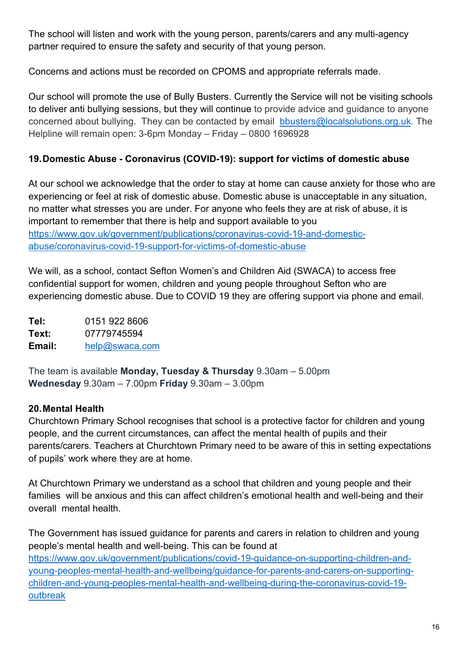The school will listen and work with the young person, parents/carers and any multi-agency partner required to ensure the safety and security of that young person.

Concerns and actions must be recorded on CPOMS and appropriate referrals made.

Our school will promote the use of Bully Busters. Currently the Service will not be visiting schools to deliver anti bullying sessions, but they will continue to provide advice and guidance to anyone concerned about bullying. They can be contacted by email bbusters@localsolutions.org.uk. The Helpline will remain open: 3-6pm Monday – Friday – 0800 1696928

### **19.Domestic Abuse - Coronavirus (COVID-19): support for victims of domestic abuse**

At our school we acknowledge that the order to stay at home can cause anxiety for those who are experiencing or feel at risk of domestic abuse. Domestic abuse is unacceptable in any situation, no matter what stresses you are under. For anyone who feels they are at risk of abuse, it is important to remember that there is help and support available to you https://www.gov.uk/government/publications/coronavirus-covid-19-and-domesticabuse/coronavirus-covid-19-support-for-victims-of-domestic-abuse

We will, as a school, contact Sefton Women's and Children Aid (SWACA) to access free confidential support for women, children and young people throughout Sefton who are experiencing domestic abuse. Due to COVID 19 they are offering support via phone and email.

**Tel:** 0151 922 8606 **Text:** 07779745594 **Email:** help@swaca.com

The team is available **Monday, Tuesday & Thursday** 9.30am – 5.00pm **Wednesday** 9.30am – 7.00pm **Friday** 9.30am – 3.00pm

#### **20.Mental Health**

Churchtown Primary School recognises that school is a protective factor for children and young people, and the current circumstances, can affect the mental health of pupils and their parents/carers. Teachers at Churchtown Primary need to be aware of this in setting expectations of pupils' work where they are at home.

At Churchtown Primary we understand as a school that children and young people and their families will be anxious and this can affect children's emotional health and well-being and their overall mental health.

The Government has issued guidance for parents and carers in relation to children and young people's mental health and well-being. This can be found at https://www.gov.uk/government/publications/covid-19-guidance-on-supporting-children-andyoung-peoples-mental-health-and-wellbeing/guidance-for-parents-and-carers-on-supportingchildren-and-young-peoples-mental-health-and-wellbeing-during-the-coronavirus-covid-19 outbreak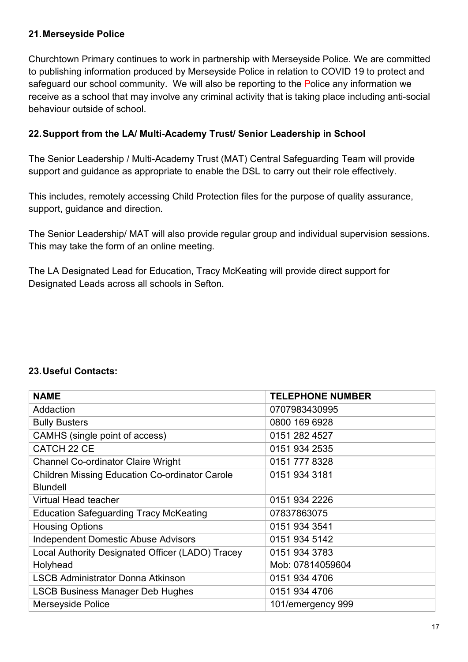#### **21.Merseyside Police**

Churchtown Primary continues to work in partnership with Merseyside Police. We are committed to publishing information produced by Merseyside Police in relation to COVID 19 to protect and safeguard our school community. We will also be reporting to the Police any information we receive as a school that may involve any criminal activity that is taking place including anti-social behaviour outside of school.

#### **22.Support from the LA/ Multi-Academy Trust/ Senior Leadership in School**

The Senior Leadership / Multi-Academy Trust (MAT) Central Safeguarding Team will provide support and guidance as appropriate to enable the DSL to carry out their role effectively.

This includes, remotely accessing Child Protection files for the purpose of quality assurance, support, guidance and direction.

The Senior Leadership/ MAT will also provide regular group and individual supervision sessions. This may take the form of an online meeting.

The LA Designated Lead for Education, Tracy McKeating will provide direct support for Designated Leads across all schools in Sefton.

#### **23.Useful Contacts:**

| <b>NAME</b>                                           | <b>TELEPHONE NUMBER</b> |  |
|-------------------------------------------------------|-------------------------|--|
| Addaction                                             | 0707983430995           |  |
| <b>Bully Busters</b>                                  | 0800 169 6928           |  |
| CAMHS (single point of access)                        | 0151 282 4527           |  |
| CATCH 22 CE                                           | 0151 934 2535           |  |
| <b>Channel Co-ordinator Claire Wright</b>             | 0151 777 8328           |  |
| <b>Children Missing Education Co-ordinator Carole</b> | 0151 934 3181           |  |
| <b>Blundell</b>                                       |                         |  |
| Virtual Head teacher                                  | 0151 934 2226           |  |
| <b>Education Safeguarding Tracy McKeating</b>         | 07837863075             |  |
| <b>Housing Options</b>                                | 0151 934 3541           |  |
| <b>Independent Domestic Abuse Advisors</b>            | 0151 934 5142           |  |
| Local Authority Designated Officer (LADO) Tracey      | 0151 934 3783           |  |
| Holyhead                                              | Mob: 07814059604        |  |
| <b>LSCB Administrator Donna Atkinson</b>              | 0151 934 4706           |  |
| <b>LSCB Business Manager Deb Hughes</b>               | 0151 934 4706           |  |
| Merseyside Police                                     | 101/emergency 999       |  |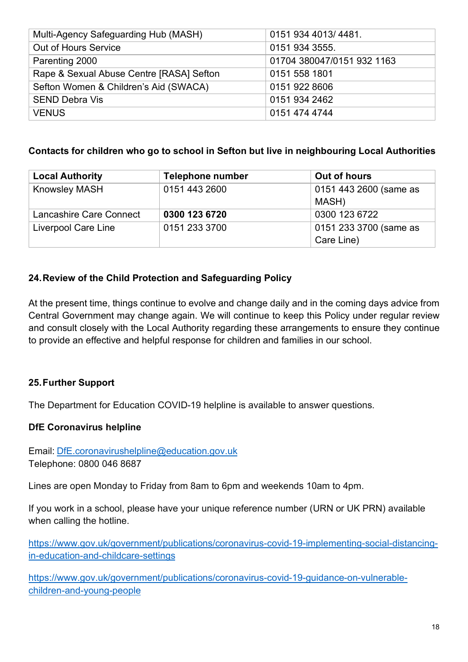| Multi-Agency Safeguarding Hub (MASH)     | 0151 934 4013/4481.        |
|------------------------------------------|----------------------------|
| Out of Hours Service                     | 0151 934 3555.             |
| Parenting 2000                           | 01704 380047/0151 932 1163 |
| Rape & Sexual Abuse Centre [RASA] Sefton | 0151 558 1801              |
| Sefton Women & Children's Aid (SWACA)    | 0151 922 8606              |
| <b>SEND Debra Vis</b>                    | 0151 934 2462              |
| <b>VENUS</b>                             | 0151 474 4744              |

#### **Contacts for children who go to school in Sefton but live in neighbouring Local Authorities**

| <b>Local Authority</b>  | <b>Telephone number</b> | Out of hours           |
|-------------------------|-------------------------|------------------------|
| <b>Knowsley MASH</b>    | 0151 443 2600           | 0151 443 2600 (same as |
|                         |                         | MASH)                  |
| Lancashire Care Connect | 0300 123 6720           | 0300 123 6722          |
| Liverpool Care Line     | 0151 233 3700           | 0151 233 3700 (same as |
|                         |                         | Care Line)             |

#### **24.Review of the Child Protection and Safeguarding Policy**

At the present time, things continue to evolve and change daily and in the coming days advice from Central Government may change again. We will continue to keep this Policy under regular review and consult closely with the Local Authority regarding these arrangements to ensure they continue to provide an effective and helpful response for children and families in our school.

### **25.Further Support**

The Department for Education COVID-19 helpline is available to answer questions.

#### **DfE Coronavirus helpline**

Email: DfE.coronavirushelpline@education.gov.uk Telephone: 0800 046 8687

Lines are open Monday to Friday from 8am to 6pm and weekends 10am to 4pm.

If you work in a school, please have your unique reference number (URN or UK PRN) available when calling the hotline.

https://www.gov.uk/government/publications/coronavirus-covid-19-implementing-social-distancingin-education-and-childcare-settings

https://www.gov.uk/government/publications/coronavirus-covid-19-guidance-on-vulnerablechildren-and-young-people